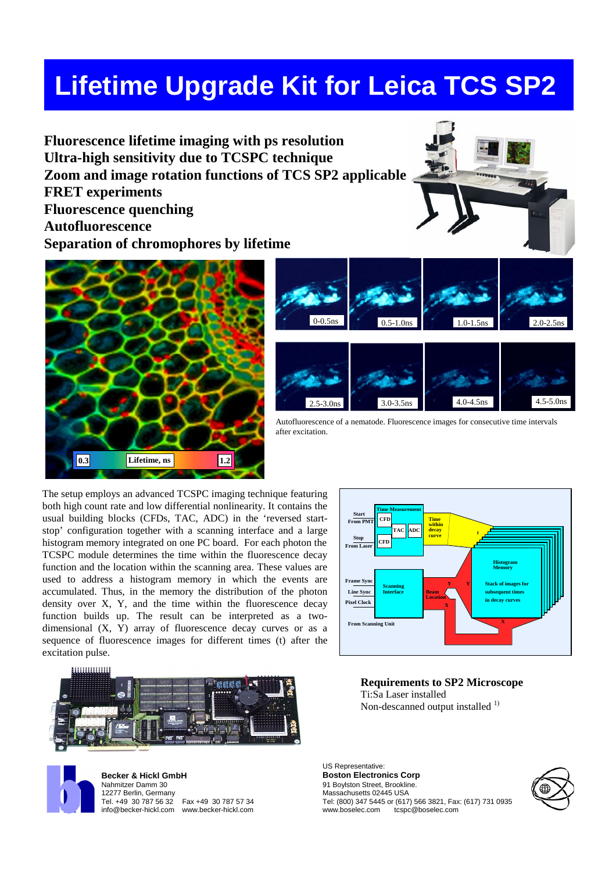# **Lifetime Upgrade Kit for Leica TCS SP2**

**Fluorescence lifetime imaging with ps resolution Ultra-high sensitivity due to TCSPC technique Zoom and image rotation functions of TCS SP2 applicable FRET experiments Fluorescence quenching Autofluorescence Separation of chromophores by lifetime**





Autofluorescence of a nematode. Fluorescence images for consecutive time intervals after excitation.

The setup employs an advanced TCSPC imaging technique featuring both high count rate and low differential nonlinearity. It contains the usual building blocks (CFDs, TAC, ADC) in the 'reversed startstop' configuration together with a scanning interface and a large histogram memory integrated on one PC board. For each photon the TCSPC module determines the time within the fluorescence decay function and the location within the scanning area. These values are used to address a histogram memory in which the events are accumulated. Thus, in the memory the distribution of the photon density over X, Y, and the time within the fluorescence decay function builds up. The result can be interpreted as a twodimensional (X, Y) array of fluorescence decay curves or as a sequence of fluorescence images for different times (t) after the excitation pulse.





**Becker & Hickl GmbH** Nahmitzer Damm 30 12277 Berlin, Germany<br>Tel. +49 30 787 56 32 Fax +49 30 787 57 34 info@becker-hickl.com www.becker-hickl.com



**Requirements to SP2 Microscope** Ti:Sa Laser installed Non-descanned output installed  $<sup>1</sup>$ </sup>

US Representative: **Boston Electronics Corp** 91 Boylston Street, Brookline. Massachusetts 02445 USA Tel: (800) 347 5445 or (617) 566 3821, Fax: (617) 731 0935 tcspc@boselec.com